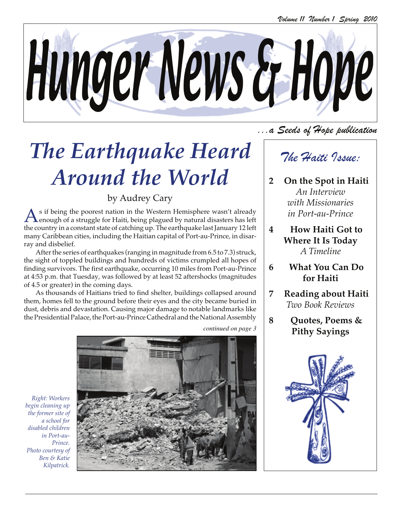

# *The Earthquake Heard Around the World*

### by Audrey Cary

As if being the poorest nation in the Western Hemisphere wasn't already<br>enough of a struggle for Haiti, being plagued by natural disasters has left<br>the countries a constant state of stabling we The could make lead to use m the country in a constant state of catching up. The earthquake last January 12 left many Caribbean cities, including the Haitian capital of Port-au-Prince, in disarray and disbelief.

After the series of earthquakes (ranging in magnitude from 6.5 to 7.3) struck, the sight of toppled buildings and hundreds of victims crumpled all hopes of finding survivors. The first earthquake, occurring 10 miles from Port-au-Prince at 4:53 p.m. that Tuesday, was followed by at least 52 aftershocks (magnitudes of 4.5 or greater) in the coming days.

As thousands of Haitians tried to find shelter, buildings collapsed around them, homes fell to the ground before their eyes and the city became buried in dust, debris and devastation. Causing major damage to notable landmarks like the Presidential Palace, thePort-au-Prince Cathedral and the National Assembly

*continued on page 3*

...a Seeds of Hope publication

### The Haiti Issue:

- **2 On the Spot in Haiti** *An Interview with Missionaries in Port-au-Prince*
- **4 How Haiti Got to Where It Is Today** *A Timeline*
- **6 What You Can Do for Haiti**
- **7 Reading about Haiti** *Two Book Reviews*
- **8 Quotes, Poems & Pithy Sayings**



*Right: Workers begin cleaning up the former site of a school for disabled children in Port-au-Prince. Photo courtesy of Ben & Katie Kilpatrick.*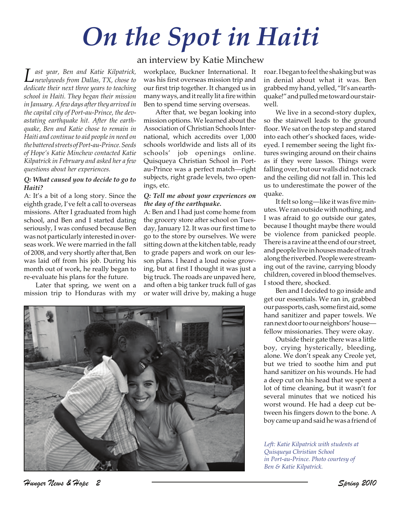# *On the Spot in Haiti*

*Last year, Ben and Katie Kilpatrick, newlyweds from Dallas, TX, chose to dedicate their next three years to teaching school in Haiti. They began their mission in January. A few days after they arrived in the capital city of Port-au-Prince, the devastating earthquake hit. After the earthquake, Ben and Katie chose to remain in Haiti and continue to aid people in need on the battered streets of Port-au-Prince. Seeds of Hope's Katie Minchew contacted Katie Kilpatrick in February and asked her a few questions about her experiences.*

### *Q: What caused you to decide to go to Haiti?*

A: It's a bit of a long story. Since the eighth grade, I've felt a call to overseas missions. After I graduated from high school, and Ben and I started dating seriously, I was confused because Ben was not particularly interested in overseas work. We were married in the fall of 2008, and very shortly after that, Ben was laid off from his job. During his month out of work, he really began to re-evaluate his plans for the future.

Later that spring, we went on a mission trip to Honduras with my

### an interview by Katie Minchew

workplace, Buckner International. It was his first overseas mission trip and our first trip together. It changed us in many ways, and it really lit a fire within Ben to spend time serving overseas.

After that, we began looking into mission options. We learned about the Association of Christian Schools International, which accredits over 1,000 schools worldwide and lists all of its schools' job openings online. Quisqueya Christian School in Portau-Prince was a perfect match—right subjects, right grade levels, two openings, etc.

#### *Q: Tell me about your experiences on the day of the earthquake.*

A: Ben and I had just come home from the grocery store after school on Tuesday, January 12. It was our first time to go to the store by ourselves. We were sitting down at the kitchen table, ready to grade papers and work on our lesson plans. I heard a loud noise growing, but at first I thought it was just a big truck. The roads are unpaved here, and often a big tanker truck full of gas or water will drive by, making a huge



roar. I began to feel the shaking but was in denial about what it was. Ben grabbed my hand, yelled, "It's an earthquake!" and pulled me toward our stairwell.

We live in a second-story duplex, so the stairwell leads to the ground floor. We sat on the top step and stared into each other's shocked faces, wideeyed. I remember seeing the light fixtures swinging around on their chains as if they were lassos. Things were falling over, but our walls did not crack and the ceiling did not fall in. This led us to underestimate the power of the quake.

It felt so long—like it was five minutes. We ran outside with nothing, and I was afraid to go outside our gates, because I thought maybe there would be violence from panicked people. There is a ravine at the end of our street, and people live in houses made of trash along the riverbed. People were streaming out of the ravine, carrying bloody children, covered in blood themselves. I stood there, shocked.

Ben and I decided to go inside and get our essentials. We ran in, grabbed our passports, cash, some first aid, some hand sanitizer and paper towels. We ran next door to our neighbors' house fellow missionaries. They were okay.

Outside their gate there was a little boy, crying hysterically, bleeding, alone. We don't speak any Creole yet, but we tried to soothe him and put hand sanitizer on his wounds. He had a deep cut on his head that we spent a lot of time cleaning, but it wasn't for several minutes that we noticed his worst wound. He had a deep cut between his fingers down to the bone. A boy came up and said he was a friend of

*Left: Katie Kilpatrick with students at Quisqueya Christian School in Port-au-Prince. Photo courtesy of Ben & Katie Kilpatrick.*

Hunger News & Hope 2 Spring 2010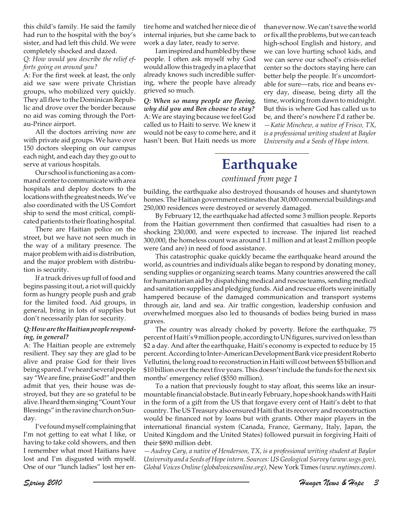this child's family. He said the family had run to the hospital with the boy's sister, and had left this child. We were completely shocked and dazed.

*Q: How would you describe the relief efforts going on around you?*

A: For the first week at least, the only aid we saw were private Christian groups, who mobilized very quickly. They all flew to the Dominican Republic and drove over the border because no aid was coming through the Portau-Prince airport.

All the doctors arriving now are with private aid groups. We have over 150 doctors sleeping on our campus each night, and each day they go out to serve at various hospitals.

Our school is functioning as a command center to communicate with area hospitals and deploy doctors to the locations with the greatest needs. We've also coordinated with the US Comfort ship to send the most critical, complicated patients to their floating hospital.

There are Haitian police on the street, but we have not seen much in the way of a military presence. The major problem with aid is distribution, and the major problem with distribution is security.

If a truck drives up full of food and begins passing it out, a riot will quickly form as hungry people push and grab for the limited food. Aid groups, in general, bring in lots of supplies but don't necessarily plan for security.

### *Q: How are the Haitian people respond**ing, in general?*

A: The Haitian people are extremely resilient. They say they are glad to be alive and praise God for their lives being spared. I've heard several people say "We are fine, praise God!" and then admit that yes, their house was destroyed, but they are so grateful to be alive. I heard them singing "Count Your Blessings" in the ravine church on Sunday.

I've found myself complaining that I'm not getting to eat what I like, or having to take cold showers, and then I remember what most Haitians have lost and I'm disgusted with myself. One of our "lunch ladies" lost her entire home and watched her niece die of internal injuries, but she came back to work a day later, ready to serve.

I am inspired and humbled by these people. I often ask myself why God would allow this tragedy in a place that already knows such incredible suffering, where the people have already grieved so much.

*Q: When so many people are fleeing, why did you and Ben choose to stay?* A: We are staying because we feel God called us to Haiti to serve. We knew it would not be easy to come here, and it hasn't been. But Haiti needs us more than ever now. We can't save the world or fix all the problems, but we can teach high-school English and history, and we can love hurting school kids, and we can serve our school's crisis-relief center so the doctors staying here can better help the people. It's uncomfortable for sure—rats, rice and beans every day, disease, being dirty all the time, working from dawn to midnight. But this is where God has called us to be, and there's nowhere I'd rather be. *—Katie Minchew, a native of Frisco, TX, is a professional writing student at Baylor University and a Seeds of Hope intern.*

### **Earthquake**

### *continued from page 1*

building, the earthquake also destroyed thousands of houses and shantytown homes. The Haitian government estimates that 30,000 commercial buildings and 250,000 residences were destroyed or severely damaged.

By February 12, the earthquake had affected some 3 million people. Reports from the Haitian government then confirmed that casualties had risen to a shocking 230,000, and were expected to increase. The injured list reached 300,000, the homeless count was around 1.1 million and at least 2 million people were (and are) in need of food assistance.

This catastrophic quake quickly became the earthquake heard around the world, as countries and individuals alike began to respond by donating money, sending supplies or organizing search teams. Many countries answered the call for humanitarian aid by dispatching medical and rescue teams, sending medical and sanitation supplies and pledging funds. Aid and rescue efforts were initially hampered because of the damaged communication and transport systems through air, land and sea. Air traffic congestion, leadership confusion and overwhelmed morgues also led to thousands of bodies being buried in mass graves.

The country was already choked by poverty. Before the earthquake, 75 percent of Haiti's 9 million people, according to UN figures, survived on less than \$2 a day. And after the earthquake, Haiti's economy is expected to reduce by 15 percent. According to Inter-American Development Bank vice president Roberto Vellutini, the long road to reconstruction in Haiti will cost between \$5 billion and \$10 billion over the next five years. This doesn't include the funds for the next six months' emergency relief (\$550 million).

To a nation that previously fought to stay afloat, this seems like an insurmountable financial obstacle. But in early February, hope shook hands with Haiti in the form of a gift from the US that forgave every cent of Haiti's debt to that country. The US Treasury also ensured Haiti that its recovery and reconstruction would be financed not by loans but with grants. Other major players in the international financial system (Canada, France, Germany, Italy, Japan, the United Kingdom and the United States) followed pursuit in forgiving Haiti of their \$890 million debt.

*—Audrey Cary, a native of Henderson, TX, is a professional writing student at Baylor University and a Seeds of Hope intern. Sources: US Geological Survey (www.usgs.gov), Global Voices Online (globalvoicesonline.org),* New York Times *(www.nytimes.com).*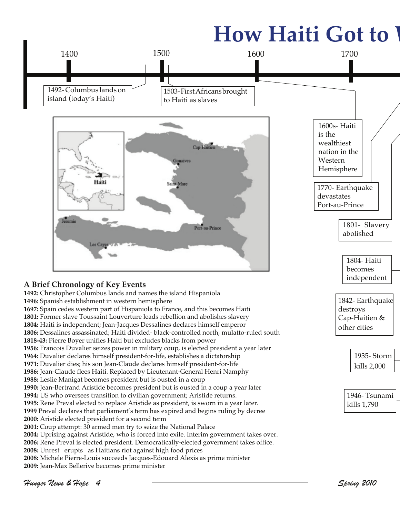# **How Haiti Got to V**

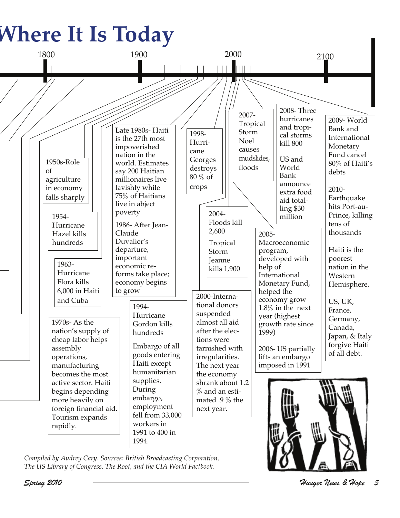# **Where It Is Today**



*Compiled by Audrey Cary. Sources: British Broadcasting Corporation, The US Library of Congress, The Root, and the CIA World Factbook.*

Spring 2010 Hunger News & Hope 5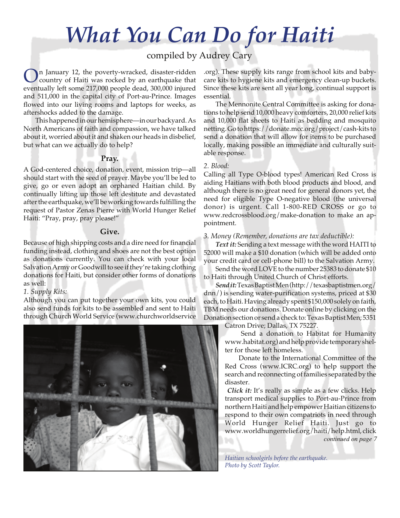## *What You Can Do for Haiti*

### compiled by Audrey Cary

In January 12, the poverty-wracked, disaster-ridden country of Haiti was rocked by an earthquake that eventually left some 217,000 people dead, 300,000 injured and 511,000 in the capital city of Port-au-Prince. Images flowed into our living rooms and laptops for weeks, as aftershocks added to the damage.

This happened in our hemisphere—in our backyard. As North Americans of faith and compassion, we have talked about it, worried about it and shaken our heads in disbelief, but what can we actually do to help?

### **Pray.**

A God-centered choice, donation, event, mission trip—all should start with the seed of prayer. Maybe you'll be led to give, go or even adopt an orphaned Haitian child. By continually lifting up those left destitute and devastated after the earthquake, we'll be working towards fulfilling the request of Pastor Zenas Pierre with World Hunger Relief Haiti: "Pray, pray, pray please!"

### **Give.**

Because of high shipping costs and a dire need for financial funding instead, clothing and shoes are not the best option as donations currently. You can check with your local Salvation Army or Goodwill to see if they're taking clothing donations for Haiti, but consider other forms of donations as well:

### *1. Supply Kits:*

Although you can put together your own kits, you could also send funds for kits to be assembled and sent to Haiti through Church World Service (www.churchworldservice



.org). These supply kits range from school kits and babycare kits to hygiene kits and emergency clean-up buckets. Since these kits are sent all year long, continual support is essential.

The Mennonite Central Committee is asking for donations to help send 10,000 heavy comforters, 20,000 relief kits and 10,000 flat sheets to Haiti as bedding and mosquito netting. Go to https://donate.mcc.org/project/cash-kits to send a donation that will allow for items to be purchased locally, making possible an immediate and culturally suitable response.

### *2. Blood:*

Calling all Type O-blood types! American Red Cross is aiding Haitians with both blood products and blood, and although there is no great need for general donors yet, the need for eligible Type O-negative blood (the universal donor) is urgent. Call 1-800-RED CROSS or go to www.redcrossblood.org/make-donation to make an appointment.

### *3. Money (Remember, donations are tax deductible):*

*Text it:* Sending a text message with the word HAITI to 52000 will make a \$10 donation (which will be added onto your credit card or cell-phone bill) to the Salvation Army.

Send the word LOVE to the number 25383 to donate \$10 to Haiti through United Church of Christ efforts.

*Send it:*Texas Baptist Men (http://texasbaptistmen.org/ dnn/) is sending water-purification systems, priced at \$30 each, to Haiti. Having already spent \$150,000 solely on faith, TBM needs our donations. Donate online by clicking on the Donation section or send a check to: Texas Baptist Men; 5351

Catron Drive; Dallas, TX 75227.

 Send a donation to Habitat for Humanity www.habitat.org) and help provide temporary shelter for those left homeless.

 Donate to the International Committee of the Red Cross (www.ICRC.org) to help support the search and reconnecting of families separated by the disaster.

*Click it:* It's really as simple as a few clicks. Help transport medical supplies to Port-au-Prince from northern Haiti and help empower Haitian citizens to respond to their own compatriots in need through World Hunger Relief Haiti. Just go to www.worldhungerrelief.org/haiti/help.html, click *continued on page 7*

*Haitian schoolgirls before the earthquake. Photo by Scott Taylor.*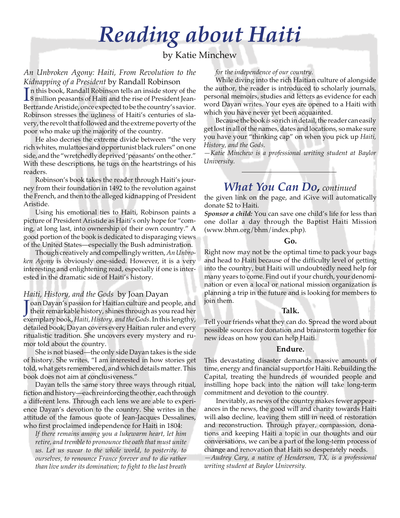## *Reading about Haiti*

### by Katie Minchew

### *An Unbroken Agony: Haiti, From Revolution to the Kidnapping of a President* by Randall Robinson

In this book, Randall Robinson tells an inside story of the 8 million peasants of Haiti and the rise of President Jean-8 million peasants of Haiti and the rise of President Jean-Bertrande Aristide, once expected to be the country's savior. Robinson stresses the ugliness of Haiti's centuries of slavery, the revolt that followed and the extreme poverty of the poor who make up the majority of the country.

He also decries the extreme divide between "the very rich whites, mulattoes and opportunist black rulers" on one side, and the "wretchedly deprived 'peasants' on the other." With these descriptions, he tugs on the heartstrings of his readers.

Robinson's book takes the reader through Haiti's journey from their foundation in 1492 to the revolution against the French, and then to the alleged kidnapping of President Aristide.

Using his emotional ties to Haiti, Robinson paints a picture of President Aristide as Haiti's only hope for "coming, at long last, into ownership of their own country." A good portion of the book is dedicated to disparaging views of the United States—especially the Bush administration.

Though creatively and compellingly written, *An Unbroken Agony* is obviously one-sided. However, it is a very interesting and enlightening read, especially if one is interested in the dramatic side of Haiti's history.

### *Haiti, History, and the Gods* by Joan Dayan

Joan Dayan's passion for Haitian culture and people, and<br>their remarkable history, shines through as you read her oan Dayan's passion for Haitian culture and people, and exemplary book, *Haiti, History, and the Gods*. In this lengthy, detailed book, Dayan covers every Haitian ruler and every ritualistic tradition. She uncovers every mystery and rumor told about the country.

She is not biased—the only side Dayan takes is the side of history. She writes, "I am interested in how stories get told, what gets remembered, and which details matter. This book does not aim at conclusiveness."

Dayan tells the same story three ways through ritual, fiction and history—each reinforcing the other, each through a different lens. Through each lens we are able to experience Dayan's devotion to the country. She writes in the attitude of the famous quote of Jean-Jacques Dessalines, who first proclaimed independence for Haiti in 1804:

*If there remains among you a lukewarm heart, let him retire, and tremble to pronounce the oath that must unite us. Let us swear to the whole world, to posterity, to ourselves, to renounce France forever and to die rather than live under its domination; to fight to the last breath*

### *for the independence of our country.*

While diving into the rich Haitian culture of alongside the author, the reader is introduced to scholarly journals, personal memoirs, studies and letters as evidence for each word Dayan writes. Your eyes are opened to a Haiti with which you have never yet been acquainted.

Because the book *is* so rich in detail, the reader can easily get lost in all of the names, dates and locations, so make sure you have your "thinking cap" on when you pick up *Haiti, History, and the Gods*.

*—Katie Minchew is a professional writing student at Baylor University.*

### *What You Can Do, continued*

the given link on the page, and iGive will automatically donate \$2 to Haiti.

*Sponsor a child:* You can save one child's life for less than one dollar a day through the Baptist Haiti Mission (www.bhm.org/bhm/index.php).

### **Go.**

Right now may not be the optimal time to pack your bags and head to Haiti because of the difficulty level of getting into the country, but Haiti will undoubtedly need help for many years to come. Find out if your church, your denomination or even a local or national mission organization is planning a trip in the future and is looking for members to join them.

### **Talk.**

Tell your friends what they can do. Spread the word about possible sources for donation and brainstorm together for new ideas on how you can help Haiti.

### **Endure.**

This devastating disaster demands massive amounts of time, energy and financial support for Haiti. Rebuilding the Capital, treating the hundreds of wounded people and instilling hope back into the nation will take long-term commitment and devotion to the country.

Inevitably, as news of the country makes fewer appearances in the news, the good will and charity towards Haiti will also decline, leaving them still in need of restoration and reconstruction. Through prayer, compassion, donations and keeping Haiti a topic in our thoughts and our conversations, we can be a part of the long-term process of change and renovation that Haiti so desperately needs.

*—Audrey Cary, a native of Henderson, TX, is a professional writing student at Baylor University.*